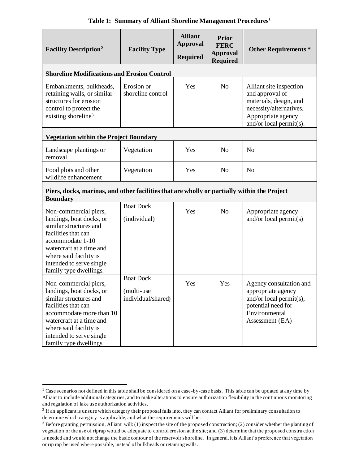| <b>Facility Description</b> <sup>2</sup>                                                                                                                                                                                                   | <b>Facility Type</b>                                 | <b>Alliant</b><br><b>Approval</b><br><b>Required</b> | <b>Prior</b><br><b>FERC</b><br><b>Approval</b><br><b>Required</b> | <b>Other Requirements *</b>                                                                                                                      |  |
|--------------------------------------------------------------------------------------------------------------------------------------------------------------------------------------------------------------------------------------------|------------------------------------------------------|------------------------------------------------------|-------------------------------------------------------------------|--------------------------------------------------------------------------------------------------------------------------------------------------|--|
| <b>Shoreline Modifications and Erosion Control</b>                                                                                                                                                                                         |                                                      |                                                      |                                                                   |                                                                                                                                                  |  |
| Embankments, bulkheads,<br>retaining walls, or similar<br>structures for erosion<br>control to protect the<br>existing shoreline <sup>3</sup>                                                                                              | Erosion or<br>shoreline control                      | Yes                                                  | N <sub>0</sub>                                                    | Alliant site inspection<br>and approval of<br>materials, design, and<br>necessity/alternatives.<br>Appropriate agency<br>and/or local permit(s). |  |
| <b>Vegetation within the Project Boundary</b>                                                                                                                                                                                              |                                                      |                                                      |                                                                   |                                                                                                                                                  |  |
| Landscape plantings or<br>removal                                                                                                                                                                                                          | Vegetation                                           | Yes                                                  | No                                                                | N <sub>o</sub>                                                                                                                                   |  |
| Food plots and other<br>wildlife enhancement                                                                                                                                                                                               | Vegetation                                           | Yes                                                  | N <sub>0</sub>                                                    | N <sub>o</sub>                                                                                                                                   |  |
| Piers, docks, marinas, and other facilities that are wholly or partially within the Project<br><b>Boundary</b>                                                                                                                             |                                                      |                                                      |                                                                   |                                                                                                                                                  |  |
| Non-commercial piers,<br>landings, boat docks, or<br>similar structures and<br>facilities that can<br>accommodate 1-10<br>watercraft at a time and<br>where said facility is<br>intended to serve single<br>family type dwellings.         | <b>Boat Dock</b><br>(individual)                     | Yes                                                  | N <sub>0</sub>                                                    | Appropriate agency<br>and/or local permit $(s)$                                                                                                  |  |
| Non-commercial piers,<br>landings, boat docks, or<br>similar structures and<br>facilities that can<br>accommodate more than 10<br>watercraft at a time and<br>where said facility is<br>intended to serve single<br>family type dwellings. | <b>Boat Dock</b><br>(multi-use<br>individual/shared) | Yes                                                  | Yes                                                               | Agency consultation and<br>appropriate agency<br>and/or local permit(s),<br>potential need for<br>Environmental<br>Assessment (EA)               |  |

**Table 1: Summary of Alliant Shoreline Management Procedures<sup>1</sup>**

<sup>&</sup>lt;sup>1</sup> Case scenarios not defined in this table shall be considered on a case-by-case basis. This table can be updated at any time by Alliant to include additional categories, and to make alterations to ensure authorization flexibility in the continuous monitoring and regulation of lake use authorization activities.

 $2$  If an applicant is unsure which category their proposal falls into, they can contact Alliant for preliminary consultation to determine which category is applicable, and what the requirements will be.

 $3$  Before granting permission, Alliant will: (1) inspect the site of the proposed construction; (2) consider whether the planting of vegetation or the use of riprap would be adequate to control erosion at the site; and (3) determine that the proposed constru ction is needed and would not change the basic contour of the reservoir shoreline. In general, it is Alliant's preference that vegetation or rip rap be used where possible, instead of bulkheads or retaining walls.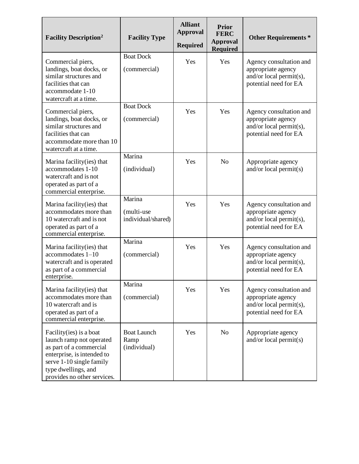| <b>Facility Description</b> <sup>2</sup>                                                                                                                                                        | <b>Facility Type</b>                       | <b>Alliant</b><br><b>Approval</b><br><b>Required</b> | <b>Prior</b><br><b>FERC</b><br><b>Approval</b><br><b>Required</b> | <b>Other Requirements *</b>                                                                           |
|-------------------------------------------------------------------------------------------------------------------------------------------------------------------------------------------------|--------------------------------------------|------------------------------------------------------|-------------------------------------------------------------------|-------------------------------------------------------------------------------------------------------|
| Commercial piers,<br>landings, boat docks, or<br>similar structures and<br>facilities that can<br>accommodate 1-10<br>watercraft at a time.                                                     | <b>Boat Dock</b><br>(commercial)           | Yes                                                  | Yes                                                               | Agency consultation and<br>appropriate agency<br>and/or local permit(s),<br>potential need for EA     |
| Commercial piers,<br>landings, boat docks, or<br>similar structures and<br>facilities that can<br>accommodate more than 10<br>watercraft at a time.                                             | <b>Boat Dock</b><br>(commercial)           | Yes                                                  | Yes                                                               | Agency consultation and<br>appropriate agency<br>and/or local permit(s),<br>potential need for EA     |
| Marina facility (ies) that<br>accommodates 1-10<br>watercraft and is not<br>operated as part of a<br>commercial enterprise.                                                                     | Marina<br>(individual)                     | Yes                                                  | N <sub>o</sub>                                                    | Appropriate agency<br>and/or local permit(s)                                                          |
| Marina facility(ies) that<br>accommodates more than<br>10 watercraft and is not<br>operated as part of a<br>commercial enterprise.                                                              | Marina<br>(multi-use<br>individual/shared) | Yes                                                  | Yes                                                               | Agency consultation and<br>appropriate agency<br>and/or local permit(s),<br>potential need for EA     |
| Marina facility (ies) that<br>$accommodates 1-10$<br>watercraft and is operated<br>as part of a commercial<br>enterprise.                                                                       | Marina<br>(commercial)                     | Yes                                                  | Yes                                                               | Agency consultation and<br>appropriate agency<br>and/or local permit $(s)$ ,<br>potential need for EA |
| Marina facility (ies) that<br>accommodates more than<br>10 watercraft and is<br>operated as part of a<br>commercial enterprise.                                                                 | Marina<br>(commercial)                     | Yes                                                  | Yes                                                               | Agency consultation and<br>appropriate agency<br>and/or local permit(s),<br>potential need for EA     |
| Facility (ies) is a boat<br>launch ramp not operated<br>as part of a commercial<br>enterprise, is intended to<br>serve 1-10 single family<br>type dwellings, and<br>provides no other services. | <b>Boat Launch</b><br>Ramp<br>(individual) | Yes                                                  | N <sub>o</sub>                                                    | Appropriate agency<br>and/or local permit $(s)$                                                       |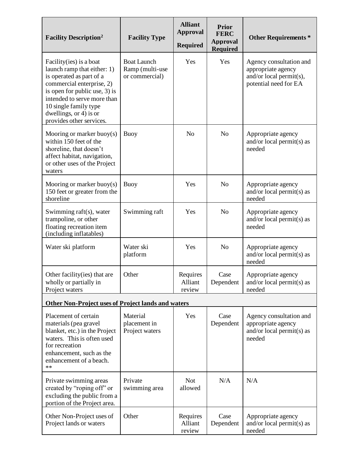| <b>Facility Description</b> <sup>2</sup>                                                                                                                                                                                                                        | <b>Facility Type</b>                                    | <b>Alliant</b><br><b>Approval</b><br><b>Required</b> | <b>Prior</b><br><b>FERC</b><br><b>Approval</b><br><b>Required</b> | <b>Other Requirements *</b>                                                                       |  |
|-----------------------------------------------------------------------------------------------------------------------------------------------------------------------------------------------------------------------------------------------------------------|---------------------------------------------------------|------------------------------------------------------|-------------------------------------------------------------------|---------------------------------------------------------------------------------------------------|--|
| Facility (ies) is a boat<br>launch ramp that either: 1)<br>is operated as part of a<br>commercial enterprise, 2)<br>is open for public use, 3) is<br>intended to serve more than<br>10 single family type<br>dwellings, or 4) is or<br>provides other services. | <b>Boat Launch</b><br>Ramp (multi-use<br>or commercial) | Yes                                                  | Yes                                                               | Agency consultation and<br>appropriate agency<br>and/or local permit(s),<br>potential need for EA |  |
| Mooring or marker buoy $(s)$<br>within 150 feet of the<br>shoreline, that doesn't<br>affect habitat, navigation,<br>or other uses of the Project<br>waters                                                                                                      | <b>Buoy</b>                                             | N <sub>o</sub>                                       | N <sub>o</sub>                                                    | Appropriate agency<br>and/or local permit(s) as<br>needed                                         |  |
| Mooring or marker buoy $(s)$<br>150 feet or greater from the<br>shoreline                                                                                                                                                                                       | <b>Buoy</b>                                             | Yes                                                  | N <sub>o</sub>                                                    | Appropriate agency<br>and/or local permit(s) as<br>needed                                         |  |
| Swimming raft(s), water<br>trampoline, or other<br>floating recreation item<br>(including inflatables)                                                                                                                                                          | Swimming raft                                           | Yes                                                  | N <sub>o</sub>                                                    | Appropriate agency<br>and/or local permit(s) as<br>needed                                         |  |
| Water ski platform                                                                                                                                                                                                                                              | Water ski<br>platform                                   | Yes                                                  | N <sub>o</sub>                                                    | Appropriate agency<br>and/or local permit( $s$ ) as<br>needed                                     |  |
| Other facility (ies) that are<br>wholly or partially in<br>Project waters                                                                                                                                                                                       | Other                                                   | Requires<br>Alliant<br>review                        | Case<br>Dependent                                                 | Appropriate agency<br>and/or local permit(s) as<br>needed                                         |  |
| Other Non-Project uses of Project lands and waters                                                                                                                                                                                                              |                                                         |                                                      |                                                                   |                                                                                                   |  |
| Placement of certain<br>materials (pea gravel<br>blanket, etc.) in the Project<br>waters. This is often used<br>for recreation<br>enhancement, such as the<br>enhancement of a beach.<br>**                                                                     | Material<br>placement in<br>Project waters              | Yes                                                  | Case<br>Dependent                                                 | Agency consultation and<br>appropriate agency<br>and/or local permit(s) as<br>needed              |  |
| Private swimming areas<br>created by "roping off" or<br>excluding the public from a<br>portion of the Project area.                                                                                                                                             | Private<br>swimming area                                | <b>Not</b><br>allowed                                | N/A                                                               | N/A                                                                                               |  |
| Other Non-Project uses of<br>Project lands or waters                                                                                                                                                                                                            | Other                                                   | Requires<br>Alliant<br>review                        | Case<br>Dependent                                                 | Appropriate agency<br>and/or local permit(s) as<br>needed                                         |  |